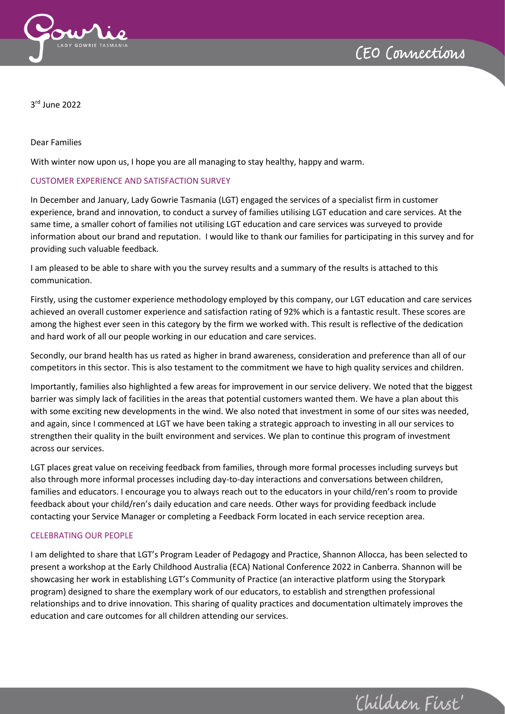

'Children First'



3 rd June 2022

#### Dear Families

With winter now upon us, I hope you are all managing to stay healthy, happy and warm.

## CUSTOMER EXPERIENCE AND SATISFACTION SURVEY

In December and January, Lady Gowrie Tasmania (LGT) engaged the services of a specialist firm in customer experience, brand and innovation, to conduct a survey of families utilising LGT education and care services. At the same time, a smaller cohort of families not utilising LGT education and care services was surveyed to provide information about our brand and reputation. I would like to thank our families for participating in this survey and for providing such valuable feedback.

I am pleased to be able to share with you the survey results and a summary of the results is attached to this communication.

Firstly, using the customer experience methodology employed by this company, our LGT education and care services achieved an overall customer experience and satisfaction rating of 92% which is a fantastic result. These scores are among the highest ever seen in this category by the firm we worked with. This result is reflective of the dedication and hard work of all our people working in our education and care services.

Secondly, our brand health has us rated as higher in brand awareness, consideration and preference than all of our competitors in this sector. This is also testament to the commitment we have to high quality services and children.

Importantly, families also highlighted a few areas for improvement in our service delivery. We noted that the biggest barrier was simply lack of facilities in the areas that potential customers wanted them. We have a plan about this with some exciting new developments in the wind. We also noted that investment in some of our sites was needed, and again, since I commenced at LGT we have been taking a strategic approach to investing in all our services to strengthen their quality in the built environment and services. We plan to continue this program of investment across our services.

LGT places great value on receiving feedback from families, through more formal processes including surveys but also through more informal processes including day-to-day interactions and conversations between children, families and educators. I encourage you to always reach out to the educators in your child/ren's room to provide feedback about your child/ren's daily education and care needs. Other ways for providing feedback include contacting your Service Manager or completing a Feedback Form located in each service reception area.

## CELEBRATING OUR PEOPLE

I am delighted to share that LGT's Program Leader of Pedagogy and Practice, Shannon Allocca, has been selected to present a workshop at the Early Childhood Australia (ECA) National Conference 2022 in Canberra. Shannon will be showcasing her work in establishing LGT's Community of Practice (an interactive platform using the Storypark program) designed to share the exemplary work of our educators, to establish and strengthen professional relationships and to drive innovation. This sharing of quality practices and documentation ultimately improves the education and care outcomes for all children attending our services.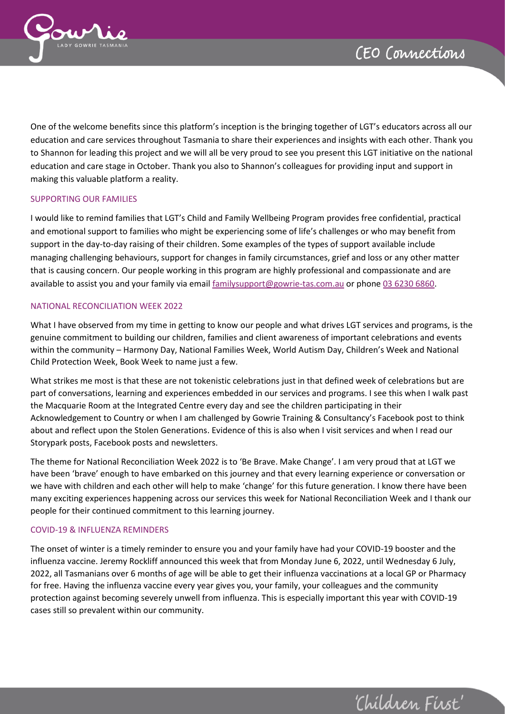

'Children First'



One of the welcome benefits since this platform's inception is the bringing together of LGT's educators across all our education and care services throughout Tasmania to share their experiences and insights with each other. Thank you to Shannon for leading this project and we will all be very proud to see you present this LGT initiative on the national education and care stage in October. Thank you also to Shannon's colleagues for providing input and support in making this valuable platform a reality.

## SUPPORTING OUR FAMILIES

I would like to remind families that LGT's Child and Family Wellbeing Program provides free confidential, practical and emotional support to families who might be experiencing some of life's challenges or who may benefit from support in the day-to-day raising of their children. Some examples of the types of support available include managing challenging behaviours, support for changes in family circumstances, grief and loss or any other matter that is causing concern. Our people working in this program are highly professional and compassionate and are available to assist you and your family via emai[l familysupport@gowrie-tas.com.au](mailto:familysupport@gowrie-tas.com.au) or phone 03 6230 6860.

#### NATIONAL RECONCILIATION WEEK 2022

What I have observed from my time in getting to know our people and what drives LGT services and programs, is the genuine commitment to building our children, families and client awareness of important celebrations and events within the community – Harmony Day, National Families Week, World Autism Day, Children's Week and National Child Protection Week, Book Week to name just a few.

What strikes me most is that these are not tokenistic celebrations just in that defined week of celebrations but are part of conversations, learning and experiences embedded in our services and programs. I see this when I walk past the Macquarie Room at the Integrated Centre every day and see the children participating in their Acknowledgement to Country or when I am challenged by Gowrie Training & Consultancy's Facebook post to think about and reflect upon the Stolen Generations. Evidence of this is also when I visit services and when I read our Storypark posts, Facebook posts and newsletters.

The theme for National Reconciliation Week 2022 is to 'Be Brave. Make Change'. I am very proud that at LGT we have been 'brave' enough to have embarked on this journey and that every learning experience or conversation or we have with children and each other will help to make 'change' for this future generation. I know there have been many exciting experiences happening across our services this week for National Reconciliation Week and I thank our people for their continued commitment to this learning journey.

#### COVID-19 & INFLUENZA REMINDERS

The onset of winter is a timely reminder to ensure you and your family have had your COVID-19 booster and the influenza vaccine. Jeremy Rockliff announced this week that from Monday June 6, 2022, until Wednesday 6 July, 2022, all Tasmanians over 6 months of age will be able to get their influenza vaccinations at a local GP or Pharmacy for free. Having the influenza vaccine every year gives you, your family, your colleagues and the community protection against becoming severely unwell from influenza. This is especially important this year with COVID-19 cases still so prevalent within our community.